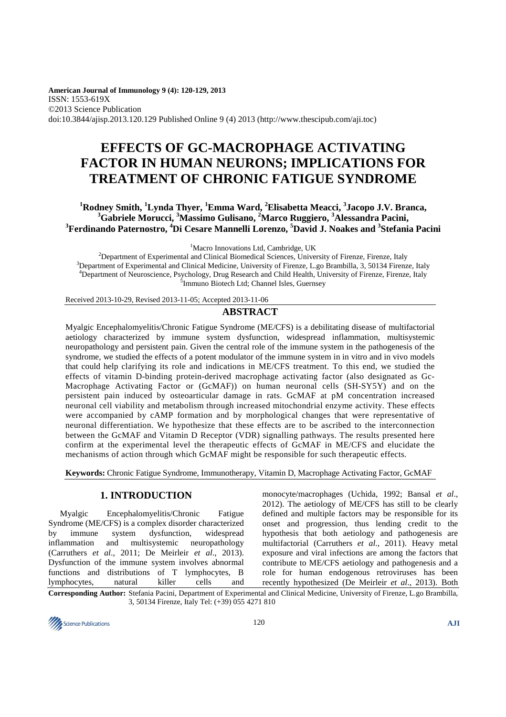**American Journal of Immunology 9 (4): 120-129, 2013** ISSN: 1553-619X ©2013 Science Publication doi:10.3844/ajisp.2013.120.129 Published Online 9 (4) 2013 (http://www.thescipub.com/aji.toc)

# **EFFECTS OF GC-MACROPHAGE ACTIVATING FACTOR IN HUMAN NEURONS; IMPLICATIONS FOR TREATMENT OF CHRONIC FATIGUE SYNDROME**

# **<sup>1</sup>Rodney Smith, <sup>1</sup>Lynda Thyer, <sup>1</sup>Emma Ward, <sup>2</sup>Elisabetta Meacci, <sup>3</sup> Jacopo J.V. Branca, <sup>3</sup>Gabriele Morucci, <sup>3</sup>Massimo Gulisano, <sup>2</sup>Marco Ruggiero, <sup>3</sup>Alessandra Pacini, <sup>3</sup>Ferdinando Paternostro, <sup>4</sup>Di Cesare Mannelli Lorenzo, <sup>5</sup>David J. Noakes and <sup>3</sup> Stefania Pacini**

<sup>1</sup>Macro Innovations Ltd, Cambridge, UK

<sup>2</sup>Department of Experimental and Clinical Biomedical Sciences, University of Firenze, Firenze, Italy <sup>3</sup>Department of Experimental and Clinical Medicine, University of Firenze, L.go Brambilla, 3, 50134 Firenze, Italy <sup>4</sup>Department of Neuroscience, Psychology, Drug Research and Child Health, University of Firenze, Firenze, Italy <sup>5</sup> Immuno Biotech Ltd; Channel Isles, Guernsey

Received 2013-10-29, Revised 2013-11-05; Accepted 2013-11-06

# **ABSTRACT**

Myalgic Encephalomyelitis/Chronic Fatigue Syndrome (ME/CFS) is a debilitating disease of multifactorial aetiology characterized by immune system dysfunction, widespread inflammation, multisystemic neuropathology and persistent pain. Given the central role of the immune system in the pathogenesis of the syndrome, we studied the effects of a potent modulator of the immune system in in vitro and in vivo models that could help clarifying its role and indications in ME/CFS treatment. To this end, we studied the effects of vitamin D-binding protein-derived macrophage activating factor (also designated as Gc-Macrophage Activating Factor or (GcMAF)) on human neuronal cells (SH-SY5Y) and on the persistent pain induced by osteoarticular damage in rats. GcMAF at pM concentration increased neuronal cell viability and metabolism through increased mitochondrial enzyme activity. These effects were accompanied by cAMP formation and by morphological changes that were representative of neuronal differentiation. We hypothesize that these effects are to be ascribed to the interconnection between the GcMAF and Vitamin D Receptor (VDR) signalling pathways. The results presented here confirm at the experimental level the therapeutic effects of GcMAF in ME/CFS and elucidate the mechanisms of action through which GcMAF might be responsible for such therapeutic effects.

**Keywords:** Chronic Fatigue Syndrome, Immunotherapy, Vitamin D, Macrophage Activating Factor, GcMAF

# **1. INTRODUCTION**

Myalgic Encephalomyelitis/Chronic Fatigue Syndrome (ME/CFS) is a complex disorder characterized by immune system dysfunction, widespread inflammation and multisystemic neuropathology (Carruthers *et al*., 2011; De Meirleir *et al*., 2013). Dysfunction of the immune system involves abnormal functions and distributions of T lymphocytes, B lymphocytes, natural killer cells and

monocyte/macrophages (Uchida, 1992; Bansal *et al*., 2012). The aetiology of ME/CFS has still to be clearly defined and multiple factors may be responsible for its onset and progression, thus lending credit to the hypothesis that both aetiology and pathogenesis are multifactorial (Carruthers *et al*., 2011). Heavy metal exposure and viral infections are among the factors that contribute to ME/CFS aetiology and pathogenesis and a role for human endogenous retroviruses has been recently hypothesized (De Meirleir *et al*., 2013). Both

**Corresponding Author:** Stefania Pacini, Department of Experimental and Clinical Medicine, University of Firenze, L.go Brambilla, 3, 50134 Firenze, Italy Tel: (+39) 055 4271 810

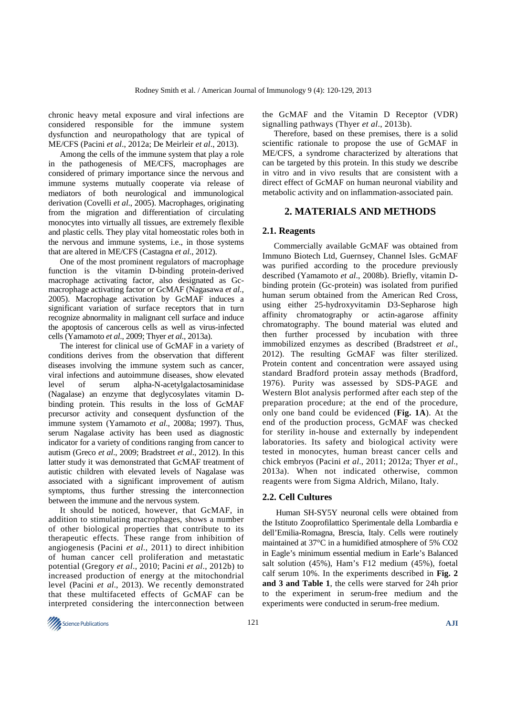chronic heavy metal exposure and viral infections are considered responsible for the immune system dysfunction and neuropathology that are typical of ME/CFS (Pacini *et al*., 2012a; De Meirleir *et al*., 2013).

Among the cells of the immune system that play a role in the pathogenesis of ME/CFS, macrophages are considered of primary importance since the nervous and immune systems mutually cooperate via release of mediators of both neurological and immunological derivation (Covelli *et al*., 2005). Macrophages, originating from the migration and differentiation of circulating monocytes into virtually all tissues, are extremely flexible and plastic cells. They play vital homeostatic roles both in the nervous and immune systems, i.e., in those systems that are altered in ME/CFS (Castagna *et al*., 2012).

One of the most prominent regulators of macrophage function is the vitamin D-binding protein-derived macrophage activating factor, also designated as Gcmacrophage activating factor or GcMAF (Nagasawa *et al*., 2005). Macrophage activation by GcMAF induces a significant variation of surface receptors that in turn recognize abnormality in malignant cell surface and induce the apoptosis of cancerous cells as well as virus-infected cells (Yamamoto *et al*., 2009; Thyer *et al*., 2013a).

The interest for clinical use of GcMAF in a variety of conditions derives from the observation that different diseases involving the immune system such as cancer, viral infections and autoimmune diseases, show elevated level of serum alpha-N-acetylgalactosaminidase (Nagalase) an enzyme that deglycosylates vitamin Dbinding protein. This results in the loss of GcMAF precursor activity and consequent dysfunction of the immune system (Yamamoto *et al*., 2008a; 1997). Thus, serum Nagalase activity has been used as diagnostic indicator for a variety of conditions ranging from cancer to autism (Greco *et al*., 2009; Bradstreet *et al*., 2012). In this latter study it was demonstrated that GcMAF treatment of autistic children with elevated levels of Nagalase was associated with a significant improvement of autism symptoms, thus further stressing the interconnection between the immune and the nervous system.

It should be noticed, however, that GcMAF, in addition to stimulating macrophages, shows a number of other biological properties that contribute to its therapeutic effects. These range from inhibition of angiogenesis (Pacini *et al*., 2011) to direct inhibition of human cancer cell proliferation and metastatic potential (Gregory *et al*., 2010; Pacini *et al*., 2012b) to increased production of energy at the mitochondrial level (Pacini *et al*., 2013). We recently demonstrated that these multifaceted effects of GcMAF can be interpreted considering the interconnection between

the GcMAF and the Vitamin D Receptor (VDR) signalling pathways (Thyer *et al*., 2013b).

Therefore, based on these premises, there is a solid scientific rationale to propose the use of GcMAF in ME/CFS, a syndrome characterized by alterations that can be targeted by this protein. In this study we describe in vitro and in vivo results that are consistent with a direct effect of GcMAF on human neuronal viability and metabolic activity and on inflammation-associated pain.

## **2. MATERIALS AND METHODS**

## **2.1. Reagents**

Commercially available GcMAF was obtained from Immuno Biotech Ltd, Guernsey, Channel Isles. GcMAF was purified according to the procedure previously described (Yamamoto *et al*., 2008b). Briefly, vitamin Dbinding protein (Gc-protein) was isolated from purified human serum obtained from the American Red Cross, using either 25-hydroxyvitamin D3-Sepharose high affinity chromatography or actin-agarose affinity chromatography. The bound material was eluted and then further processed by incubation with three immobilized enzymes as described (Bradstreet *et al*., 2012). The resulting GcMAF was filter sterilized. Protein content and concentration were assayed using standard Bradford protein assay methods (Bradford, 1976). Purity was assessed by SDS-PAGE and Western Blot analysis performed after each step of the preparation procedure; at the end of the procedure, only one band could be evidenced (**Fig. 1A**). At the end of the production process, GcMAF was checked for sterility in-house and externally by independent laboratories. Its safety and biological activity were tested in monocytes, human breast cancer cells and chick embryos (Pacini *et al*., 2011; 2012a; Thyer *et al*., 2013a). When not indicated otherwise, common reagents were from Sigma Aldrich, Milano, Italy.

### **2.2. Cell Cultures**

 Human SH-SY5Y neuronal cells were obtained from the Istituto Zooprofilattico Sperimentale della Lombardia e dell'Emilia-Romagna, Brescia, Italy. Cells were routinely maintained at 37°C in a humidified atmosphere of 5% CO2 in Eagle's minimum essential medium in Earle's Balanced salt solution (45%), Ham's F12 medium (45%), foetal calf serum 10%. In the experiments described in **Fig. 2 and 3 and Table 1**, the cells were starved for 24h prior to the experiment in serum-free medium and the experiments were conducted in serum-free medium.

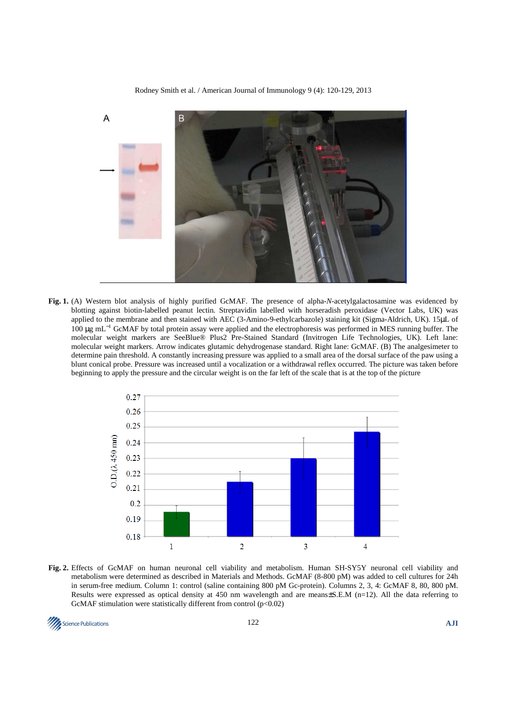A B

Rodney Smith et al. / American Journal of Immunology 9 (4): 120-129, 2013

**Fig. 1.** (A) Western blot analysis of highly purified GcMAF. The presence of alpha-*N*-acetylgalactosamine was evidenced by blotting against biotin-labelled peanut lectin. Streptavidin labelled with horseradish peroxidase (Vector Labs, UK) was applied to the membrane and then stained with AEC (3-Amino-9-ethylcarbazole) staining kit (Sigma-Aldrich, UK). 15µL of 100 µg mL<sup>−</sup><sup>1</sup> GcMAF by total protein assay were applied and the electrophoresis was performed in MES running buffer. The molecular weight markers are SeeBlue® Plus2 Pre-Stained Standard (Invitrogen Life Technologies, UK). Left lane: molecular weight markers. Arrow indicates glutamic dehydrogenase standard. Right lane: GcMAF. (B) The analgesimeter to determine pain threshold. A constantly increasing pressure was applied to a small area of the dorsal surface of the paw using a blunt conical probe. Pressure was increased until a vocalization or a withdrawal reflex occurred. The picture was taken before beginning to apply the pressure and the circular weight is on the far left of the scale that is at the top of the picture



**Fig. 2.** Effects of GcMAF on human neuronal cell viability and metabolism. Human SH-SY5Y neuronal cell viability and metabolism were determined as described in Materials and Methods. GcMAF (8-800 pM) was added to cell cultures for 24h in serum-free medium. Column 1: control (saline containing 800 pM Gc-protein). Columns 2, 3, 4: GcMAF 8, 80, 800 pM. Results were expressed as optical density at 450 nm wavelength and are means $\pm$ S.E.M (n=12). All the data referring to GcMAF stimulation were statistically different from control  $(p<0.02)$ 

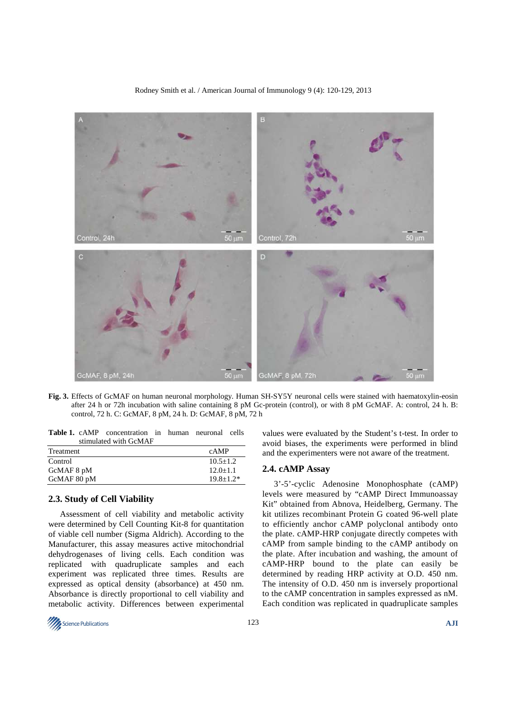

Rodney Smith et al. / American Journal of Immunology 9 (4): 120-129, 2013

**Fig. 3.** Effects of GcMAF on human neuronal morphology. Human SH-SY5Y neuronal cells were stained with haematoxylin-eosin after 24 h or 72h incubation with saline containing 8 pM Gc-protein (control), or with 8 pM GcMAF. A: control, 24 h. B: control, 72 h. C: GcMAF, 8 pM, 24 h. D: GcMAF, 8 pM, 72 h

**Table 1.** cAMP concentration in human neuronal cells stimulated with GcMAF

| Treatment   | cAMP          |
|-------------|---------------|
| Control     | $10.5 + 1.2$  |
| GcMAF 8 pM  | $12.0+1.1$    |
| GcMAF 80 pM | $19.8 + 1.2*$ |
|             |               |

## **2.3. Study of Cell Viability**

Assessment of cell viability and metabolic activity were determined by Cell Counting Kit-8 for quantitation of viable cell number (Sigma Aldrich). According to the Manufacturer, this assay measures active mitochondrial dehydrogenases of living cells. Each condition was replicated with quadruplicate samples and each experiment was replicated three times. Results are expressed as optical density (absorbance) at 450 nm. Absorbance is directly proportional to cell viability and metabolic activity. Differences between experimental values were evaluated by the Student's t-test. In order to avoid biases, the experiments were performed in blind and the experimenters were not aware of the treatment.

#### **2.4. cAMP Assay**

3'-5'-cyclic Adenosine Monophosphate (cAMP) levels were measured by "cAMP Direct Immunoassay Kit" obtained from Abnova, Heidelberg, Germany. The kit utilizes recombinant Protein G coated 96-well plate to efficiently anchor cAMP polyclonal antibody onto the plate. cAMP-HRP conjugate directly competes with cAMP from sample binding to the cAMP antibody on the plate. After incubation and washing, the amount of cAMP-HRP bound to the plate can easily be determined by reading HRP activity at O.D. 450 nm. The intensity of O.D. 450 nm is inversely proportional to the cAMP concentration in samples expressed as nM. Each condition was replicated in quadruplicate samples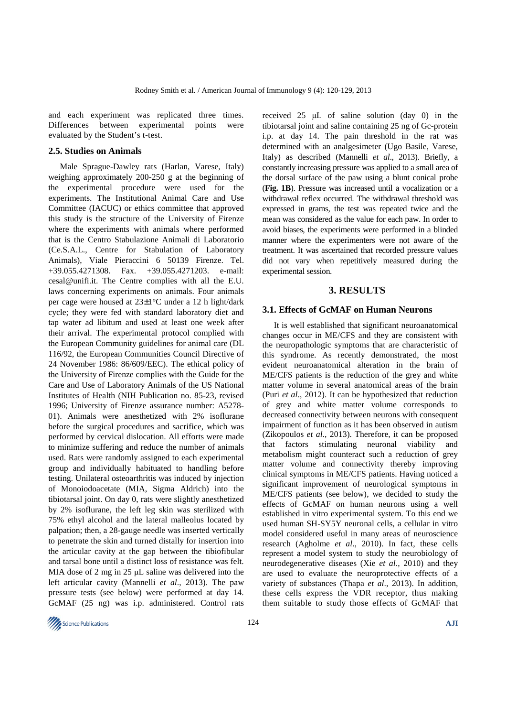and each experiment was replicated three times. Differences between experimental points were evaluated by the Student's t-test.

#### **2.5. Studies on Animals**

Male Sprague-Dawley rats (Harlan, Varese, Italy) weighing approximately 200-250 g at the beginning of the experimental procedure were used for the experiments. The Institutional Animal Care and Use Committee (IACUC) or ethics committee that approved this study is the structure of the University of Firenze where the experiments with animals where performed that is the Centro Stabulazione Animali di Laboratorio (Ce.S.A.L., Centre for Stabulation of Laboratory Animals), Viale Pieraccini 6 50139 Firenze. Tel. +39.055.4271308. Fax. +39.055.4271203. e-mail: cesal@unifi.it. The Centre complies with all the E.U. laws concerning experiments on animals. Four animals per cage were housed at 23±1°C under a 12 h light/dark cycle; they were fed with standard laboratory diet and tap water ad libitum and used at least one week after their arrival. The experimental protocol complied with the European Community guidelines for animal care (DL 116/92, the European Communities Council Directive of 24 November 1986: 86/609/EEC). The ethical policy of the University of Firenze complies with the Guide for the Care and Use of Laboratory Animals of the US National Institutes of Health (NIH Publication no. 85-23, revised 1996; University of Firenze assurance number: A5278- 01). Animals were anesthetized with 2% isoflurane before the surgical procedures and sacrifice, which was performed by cervical dislocation. All efforts were made to minimize suffering and reduce the number of animals used. Rats were randomly assigned to each experimental group and individually habituated to handling before testing. Unilateral osteoarthritis was induced by injection of Monoiodoacetate (MIA, Sigma Aldrich) into the tibiotarsal joint. On day 0, rats were slightly anesthetized by 2% isoflurane, the left leg skin was sterilized with 75% ethyl alcohol and the lateral malleolus located by palpation; then, a 28-gauge needle was inserted vertically to penetrate the skin and turned distally for insertion into the articular cavity at the gap between the tibiofibular and tarsal bone until a distinct loss of resistance was felt. MIA dose of 2 mg in 25 µL saline was delivered into the left articular cavity (Mannelli *et al*., 2013). The paw pressure tests (see below) were performed at day 14. GcMAF (25 ng) was i.p. administered. Control rats

received 25 µL of saline solution (day 0) in the tibiotarsal joint and saline containing 25 ng of Gc-protein i.p. at day 14. The pain threshold in the rat was determined with an analgesimeter (Ugo Basile, Varese, Italy) as described (Mannelli *et al*., 2013). Briefly, a constantly increasing pressure was applied to a small area of the dorsal surface of the paw using a blunt conical probe (**Fig. 1B**). Pressure was increased until a vocalization or a withdrawal reflex occurred. The withdrawal threshold was expressed in grams, the test was repeated twice and the mean was considered as the value for each paw. In order to avoid biases, the experiments were performed in a blinded manner where the experimenters were not aware of the treatment. It was ascertained that recorded pressure values did not vary when repetitively measured during the experimental session.

# **3. RESULTS**

#### **3.1. Effects of GcMAF on Human Neurons**

It is well established that significant neuroanatomical changes occur in ME/CFS and they are consistent with the neuropathologic symptoms that are characteristic of this syndrome. As recently demonstrated, the most evident neuroanatomical alteration in the brain of ME/CFS patients is the reduction of the grey and white matter volume in several anatomical areas of the brain (Puri *et al*., 2012). It can be hypothesized that reduction of grey and white matter volume corresponds to decreased connectivity between neurons with consequent impairment of function as it has been observed in autism (Zikopoulos *et al*., 2013). Therefore, it can be proposed that factors stimulating neuronal viability and metabolism might counteract such a reduction of grey matter volume and connectivity thereby improving clinical symptoms in ME/CFS patients. Having noticed a significant improvement of neurological symptoms in ME/CFS patients (see below), we decided to study the effects of GcMAF on human neurons using a well established in vitro experimental system. To this end we used human SH-SY5Y neuronal cells, a cellular in vitro model considered useful in many areas of neuroscience research (Agholme *et al*., 2010). In fact, these cells represent a model system to study the neurobiology of neurodegenerative diseases (Xie *et al*., 2010) and they are used to evaluate the neuroprotective effects of a variety of substances (Thapa *et al*., 2013). In addition, these cells express the VDR receptor, thus making them suitable to study those effects of GcMAF that

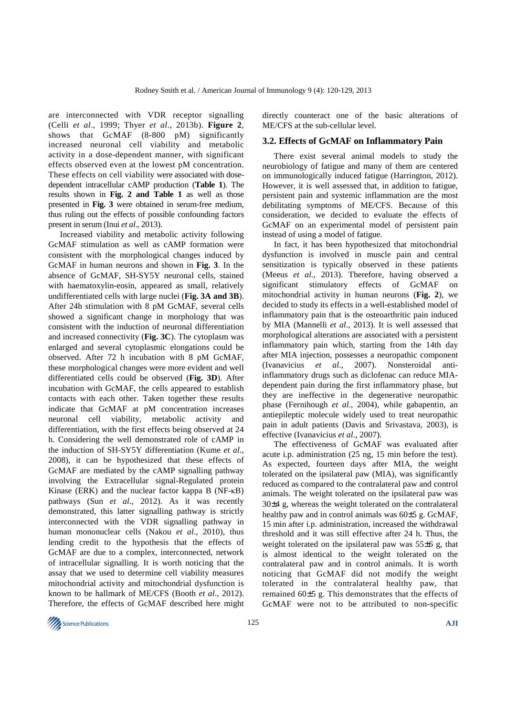are interconnected with VDR receptor signalling (Celli *et al*., 1999; Thyer *et al*., 2013b). **Figure 2**, shows that GcMAF (8-800 pM) significantly increased neuronal cell viability and metabolic activity in a dose-dependent manner, with significant effects observed even at the lowest pM concentration. These effects on cell viability were associated with dosedependent intracellular cAMP production (**Table 1**). The results shown in **Fig. 2 and Table 1** as well as those presented in **Fig. 3** were obtained in serum-free medium, thus ruling out the effects of possible confounding factors present in serum (Inui *et al*., 2013).

Increased viability and metabolic activity following GcMAF stimulation as well as cAMP formation were consistent with the morphological changes induced by GcMAF in human neurons and shown in **Fig. 3**. In the absence of GcMAF, SH-SY5Y neuronal cells, stained with haematoxylin-eosin, appeared as small, relatively undifferentiated cells with large nuclei (**Fig. 3A and 3B**). After 24h stimulation with 8 pM GcMAF, several cells showed a significant change in morphology that was consistent with the induction of neuronal differentiation and increased connectivity (**Fig. 3C**). The cytoplasm was enlarged and several cytoplasmic elongations could be observed. After 72 h incubation with 8 pM GcMAF, these morphological changes were more evident and well differentiated cells could be observed (**Fig. 3D**). After incubation with GcMAF, the cells appeared to establish contacts with each other. Taken together these results indicate that GcMAF at pM concentration increases neuronal cell viability, metabolic activity and differentiation, with the first effects being observed at 24 h. Considering the well demonstrated role of cAMP in the induction of SH-SY5Y differentiation (Kume *et al*., 2008), it can be hypothesized that these effects of GcMAF are mediated by the cAMP signalling pathway involving the Extracellular signal-Regulated protein Kinase (ERK) and the nuclear factor kappa B (NF-κB) pathways (Sun *et al*., 2012). As it was recently demonstrated, this latter signalling pathway is strictly interconnected with the VDR signalling pathway in human mononuclear cells (Nakou *et al*., 2010), thus lending credit to the hypothesis that the effects of GcMAF are due to a complex, interconnected, network of intracellular signalling. It is worth noticing that the assay that we used to determine cell viability measures mitochondrial activity and mitochondrial dysfunction is known to be hallmark of ME/CFS (Booth *et al*., 2012). Therefore, the effects of GcMAF described here might

directly counteract one of the basic alterations of ME/CFS at the sub-cellular level.

#### **3.2. Effects of GcMAF on Inflammatory Pain**

There exist several animal models to study the neurobiology of fatigue and many of them are centered on immunologically induced fatigue (Harrington, 2012). However, it is well assessed that, in addition to fatigue, persistent pain and systemic inflammation are the most debilitating symptoms of ME/CFS. Because of this consideration, we decided to evaluate the effects of GcMAF on an experimental model of persistent pain instead of using a model of fatigue.

In fact, it has been hypothesized that mitochondrial dysfunction is involved in muscle pain and central sensitization is typically observed in these patients (Meeus *et al*., 2013). Therefore, having observed a significant stimulatory effects of GcMAF on mitochondrial activity in human neurons (**Fig. 2**), we decided to study its effects in a well-established model of inflammatory pain that is the osteoarthritic pain induced by MIA (Mannelli *et al*., 2013). It is well assessed that morphological alterations are associated with a persistent inflammatory pain which, starting from the 14th day after MIA injection, possesses a neuropathic component (Ivanavicius *et al*., 2007). Nonsteroidal antiinflammatory drugs such as diclofenac can reduce MIAdependent pain during the first inflammatory phase, but they are ineffective in the degenerative neuropathic phase (Fernihough *et al*., 2004), while gabapentin, an antiepileptic molecule widely used to treat neuropathic pain in adult patients (Davis and Srivastava, 2003), is effective (Ivanavicius *et al*., 2007).

The effectiveness of GcMAF was evaluated after acute i.p. administration (25 ng, 15 min before the test). As expected, fourteen days after MIA, the weight tolerated on the ipsilateral paw (MIA), was significantly reduced as compared to the contralateral paw and control animals. The weight tolerated on the ipsilateral paw was 30±4 g, whereas the weight tolerated on the contralateral healthy paw and in control animals was 60±5 g. GcMAF, 15 min after i.p. administration, increased the withdrawal threshold and it was still effective after 24 h. Thus, the weight tolerated on the ipsilateral paw was 55±6 g, that is almost identical to the weight tolerated on the contralateral paw and in control animals. It is worth noticing that GcMAF did not modify the weight tolerated in the contralateral healthy paw, that remained 60±5 g. This demonstrates that the effects of GcMAF were not to be attributed to non-specific

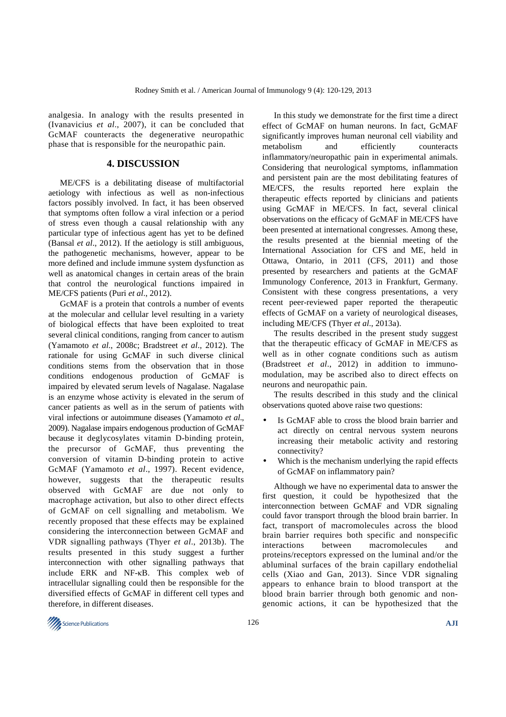analgesia. In analogy with the results presented in (Ivanavicius *et al*., 2007), it can be concluded that GcMAF counteracts the degenerative neuropathic phase that is responsible for the neuropathic pain.

#### **4. DISCUSSION**

ME/CFS is a debilitating disease of multifactorial aetiology with infectious as well as non-infectious factors possibly involved. In fact, it has been observed that symptoms often follow a viral infection or a period of stress even though a causal relationship with any particular type of infectious agent has yet to be defined (Bansal *et al*., 2012). If the aetiology is still ambiguous, the pathogenetic mechanisms, however, appear to be more defined and include immune system dysfunction as well as anatomical changes in certain areas of the brain that control the neurological functions impaired in ME/CFS patients (Puri *et al*., 2012).

GcMAF is a protein that controls a number of events at the molecular and cellular level resulting in a variety of biological effects that have been exploited to treat several clinical conditions, ranging from cancer to autism (Yamamoto *et al*., 2008c; Bradstreet *et al*., 2012). The rationale for using GcMAF in such diverse clinical conditions stems from the observation that in those conditions endogenous production of GcMAF is impaired by elevated serum levels of Nagalase. Nagalase is an enzyme whose activity is elevated in the serum of cancer patients as well as in the serum of patients with viral infections or autoimmune diseases (Yamamoto *et al*., 2009). Nagalase impairs endogenous production of GcMAF because it deglycosylates vitamin D-binding protein, the precursor of GcMAF, thus preventing the conversion of vitamin D-binding protein to active GcMAF (Yamamoto *et al*., 1997). Recent evidence, however, suggests that the therapeutic results observed with GcMAF are due not only to macrophage activation, but also to other direct effects of GcMAF on cell signalling and metabolism. We recently proposed that these effects may be explained considering the interconnection between GcMAF and VDR signalling pathways (Thyer *et al*., 2013b). The results presented in this study suggest a further interconnection with other signalling pathways that include ERK and NF-κB. This complex web of intracellular signalling could then be responsible for the diversified effects of GcMAF in different cell types and therefore, in different diseases.

In this study we demonstrate for the first time a direct effect of GcMAF on human neurons. In fact, GcMAF significantly improves human neuronal cell viability and metabolism and efficiently counteracts inflammatory/neuropathic pain in experimental animals. Considering that neurological symptoms, inflammation and persistent pain are the most debilitating features of ME/CFS, the results reported here explain the therapeutic effects reported by clinicians and patients using GcMAF in ME/CFS. In fact, several clinical observations on the efficacy of GcMAF in ME/CFS have been presented at international congresses. Among these, the results presented at the biennial meeting of the International Association for CFS and ME, held in Ottawa, Ontario, in 2011 (CFS, 2011) and those presented by researchers and patients at the GcMAF Immunology Conference, 2013 in Frankfurt, Germany. Consistent with these congress presentations, a very recent peer-reviewed paper reported the therapeutic effects of GcMAF on a variety of neurological diseases, including ME/CFS (Thyer *et al*., 2013a).

The results described in the present study suggest that the therapeutic efficacy of GcMAF in ME/CFS as well as in other cognate conditions such as autism (Bradstreet *et al*., 2012) in addition to immunomodulation, may be ascribed also to direct effects on neurons and neuropathic pain.

The results described in this study and the clinical observations quoted above raise two questions:

- Is GcMAF able to cross the blood brain barrier and act directly on central nervous system neurons increasing their metabolic activity and restoring connectivity?
- Which is the mechanism underlying the rapid effects of GcMAF on inflammatory pain?

Although we have no experimental data to answer the first question, it could be hypothesized that the interconnection between GcMAF and VDR signaling could favor transport through the blood brain barrier. In fact, transport of macromolecules across the blood brain barrier requires both specific and nonspecific interactions between macromolecules and proteins/receptors expressed on the luminal and/or the abluminal surfaces of the brain capillary endothelial cells (Xiao and Gan, 2013). Since VDR signaling appears to enhance brain to blood transport at the blood brain barrier through both genomic and nongenomic actions, it can be hypothesized that the

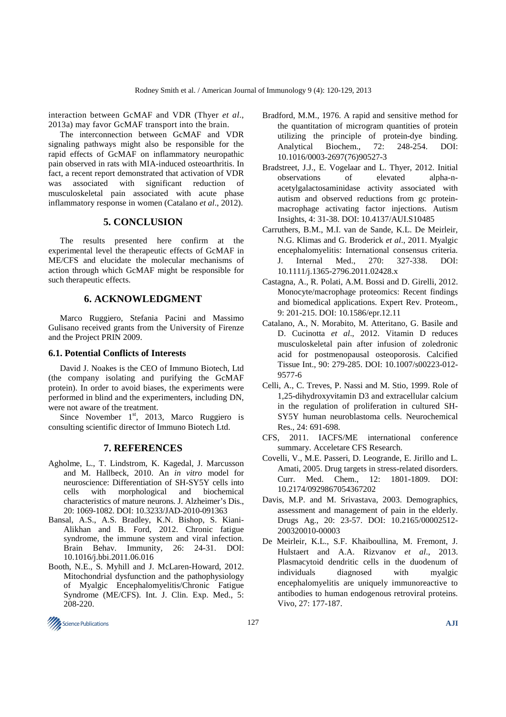interaction between GcMAF and VDR (Thyer *et al*., 2013a) may favor GcMAF transport into the brain.

The interconnection between GcMAF and VDR signaling pathways might also be responsible for the rapid effects of GcMAF on inflammatory neuropathic pain observed in rats with MIA-induced osteoarthritis. In fact, a recent report demonstrated that activation of VDR was associated with significant reduction of musculoskeletal pain associated with acute phase inflammatory response in women (Catalano *et al*., 2012).

## **5. CONCLUSION**

The results presented here confirm at the experimental level the therapeutic effects of GcMAF in ME/CFS and elucidate the molecular mechanisms of action through which GcMAF might be responsible for such therapeutic effects.

## **6. ACKNOWLEDGMENT**

Marco Ruggiero, Stefania Pacini and Massimo Gulisano received grants from the University of Firenze and the Project PRIN 2009.

#### **6.1. Potential Conflicts of Interests**

David J. Noakes is the CEO of Immuno Biotech, Ltd (the company isolating and purifying the GcMAF protein). In order to avoid biases, the experiments were performed in blind and the experimenters, including DN, were not aware of the treatment.

Since November  $1<sup>st</sup>$ , 2013, Marco Ruggiero is consulting scientific director of Immuno Biotech Ltd.

# **7. REFERENCES**

- Agholme, L., T. Lindstrom, K. Kagedal, J. Marcusson and M. Hallbeck, 2010. An *in vitro* model for neuroscience: Differentiation of SH-SY5Y cells into cells with morphological and biochemical characteristics of mature neurons. J. Alzheimer's Dis., 20: 1069-1082. DOI: 10.3233/JAD-2010-091363
- Bansal, A.S., A.S. Bradley, K.N. Bishop, S. Kiani-Alikhan and B. Ford, 2012. Chronic fatigue syndrome, the immune system and viral infection. Brain Behav. Immunity, 26: 24-31. DOI: 10.1016/j.bbi.2011.06.016
- Booth, N.E., S. Myhill and J. McLaren-Howard, 2012. Mitochondrial dysfunction and the pathophysiology of Myalgic Encephalomyelitis/Chronic Fatigue Syndrome (ME/CFS). Int. J. Clin. Exp. Med., 5: 208-220.
- Bradford, M.M., 1976. A rapid and sensitive method for the quantitation of microgram quantities of protein utilizing the principle of protein-dye binding. Analytical Biochem., 72: 248-254. DOI: 10.1016/0003-2697(76)90527-3
- Bradstreet, J.J., E. Vogelaar and L. Thyer, 2012. Initial observations of elevated alpha-nacetylgalactosaminidase activity associated with autism and observed reductions from gc proteinmacrophage activating factor injections. Autism Insights, 4: 31-38. DOI: 10.4137/AUI.S10485
- Carruthers, B.M., M.I. van de Sande, K.L. De Meirleir, N.G. Klimas and G. Broderick *et al*., 2011. Myalgic encephalomyelitis: International consensus criteria. J. Internal Med., 270: 327-338. DOI: 10.1111/j.1365-2796.2011.02428.x
- Castagna, A., R. Polati, A.M. Bossi and D. Girelli, 2012. Monocyte/macrophage proteomics: Recent findings and biomedical applications. Expert Rev. Proteom., 9: 201-215. DOI: 10.1586/epr.12.11
- Catalano, A., N. Morabito, M. Atteritano, G. Basile and D. Cucinotta *et al*., 2012. Vitamin D reduces musculoskeletal pain after infusion of zoledronic acid for postmenopausal osteoporosis. Calcified Tissue Int., 90: 279-285. DOI: 10.1007/s00223-012- 9577-6
- Celli, A., C. Treves, P. Nassi and M. Stio, 1999. Role of 1,25-dihydroxyvitamin D3 and extracellular calcium in the regulation of proliferation in cultured SH-SY5Y human neuroblastoma cells. Neurochemical Res., 24: 691-698.
- CFS, 2011. IACFS/ME international conference summary. Acceletare CFS Research.
- Covelli, V., M.E. Passeri, D. Leogrande, E. Jirillo and L. Amati, 2005. Drug targets in stress-related disorders. Curr. Med. Chem., 12: 1801-1809. DOI: 10.2174/0929867054367202
- Davis, M.P. and M. Srivastava, 2003. Demographics, assessment and management of pain in the elderly. Drugs Ag., 20: 23-57. DOI: 10.2165/00002512- 200320010-00003
- De Meirleir, K.L., S.F. Khaiboullina, M. Fremont, J. Hulstaert and A.A. Rizvanov *et al*., 2013. Plasmacytoid dendritic cells in the duodenum of individuals diagnosed with myalgic encephalomyelitis are uniquely immunoreactive to antibodies to human endogenous retroviral proteins. Vivo, 27: 177-187.

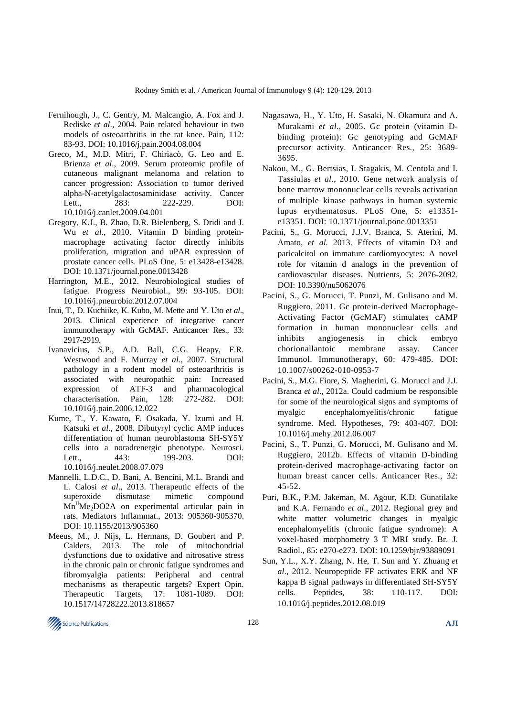- Fernihough, J., C. Gentry, M. Malcangio, A. Fox and J. Rediske *et al*., 2004. Pain related behaviour in two models of osteoarthritis in the rat knee. Pain, 112: 83-93. DOI: 10.1016/j.pain.2004.08.004
- Greco, M., M.D. Mitri, F. Chiriacò, G. Leo and E. Brienza *et al*., 2009. Serum proteomic profile of cutaneous malignant melanoma and relation to cancer progression: Association to tumor derived alpha-N-acetylgalactosaminidase activity. Cancer Lett.. 283: 222-229. DOI: 10.1016/j.canlet.2009.04.001
- Gregory, K.J., B. Zhao, D.R. Bielenberg, S. Dridi and J. Wu *et al*., 2010. Vitamin D binding proteinmacrophage activating factor directly inhibits proliferation, migration and uPAR expression of prostate cancer cells. PLoS One, 5: e13428-e13428. DOI: 10.1371/journal.pone.0013428
- Harrington, M.E., 2012. Neurobiological studies of fatigue. Progress Neurobiol., 99: 93-105. DOI: 10.1016/j.pneurobio.2012.07.004
- Inui, T., D. Kuchiike, K. Kubo, M. Mette and Y. Uto *et al*., 2013. Clinical experience of integrative cancer immunotherapy with GcMAF. Anticancer Res., 33: 2917-2919.
- Ivanavicius, S.P., A.D. Ball, C.G. Heapy, F.R. Westwood and F. Murray *et al*., 2007. Structural pathology in a rodent model of osteoarthritis is associated with neuropathic pain: Increased expression of ATF-3 and pharmacological characterisation. Pain, 128: 272-282. DOI: 10.1016/j.pain.2006.12.022
- Kume, T., Y. Kawato, F. Osakada, Y. Izumi and H. Katsuki *et al*., 2008. Dibutyryl cyclic AMP induces differentiation of human neuroblastoma SH-SY5Y cells into a noradrenergic phenotype. Neurosci. Lett., 443: 199-203. DOI: 10.1016/j.neulet.2008.07.079
- Mannelli, L.D.C., D. Bani, A. Bencini, M.L. Brandi and L. Calosi *et al*., 2013. Therapeutic effects of the superoxide dismutase mimetic compound  $Mn^{II}$ Me<sub>2</sub>DO2A on experimental articular pain in rats. Mediators Inflammat., 2013: 905360-905370. DOI: 10.1155/2013/905360
- Meeus, M., J. Nijs, L. Hermans, D. Goubert and P. Calders, 2013. The role of mitochondrial dysfunctions due to oxidative and nitrosative stress in the chronic pain or chronic fatigue syndromes and fibromyalgia patients: Peripheral and central mechanisms as therapeutic targets? Expert Opin. Therapeutic Targets, 17: 1081-1089. DOI: 10.1517/14728222.2013.818657
- Nagasawa, H., Y. Uto, H. Sasaki, N. Okamura and A. Murakami *et al*., 2005. Gc protein (vitamin Dbinding protein): Gc genotyping and GcMAF precursor activity. Anticancer Res., 25: 3689- 3695.
- Nakou, M., G. Bertsias, I. Stagakis, M. Centola and I. Tassiulas *et al*., 2010. Gene network analysis of bone marrow mononuclear cells reveals activation of multiple kinase pathways in human systemic lupus erythematosus. PLoS One, 5: e13351 e13351. DOI: 10.1371/journal.pone.0013351
- Pacini, S., G. Morucci, J.J.V. Branca, S. Aterini, M. Amato, *et al.* 2013. Effects of vitamin D3 and paricalcitol on immature cardiomyocytes: A novel role for vitamin d analogs in the prevention of cardiovascular diseases. Nutrients, 5: 2076-2092. DOI: 10.3390/nu5062076
- Pacini, S., G. Morucci, T. Punzi, M. Gulisano and M. Ruggiero, 2011. Gc protein-derived Macrophage-Activating Factor (GcMAF) stimulates cAMP formation in human mononuclear cells and inhibits angiogenesis in chick embryo chorionallantoic membrane assay. Cancer Immunol. Immunotherapy, 60: 479-485. DOI: 10.1007/s00262-010-0953-7
- Pacini, S., M.G. Fiore, S. Magherini, G. Morucci and J.J. Branca *et al*., 2012a. Could cadmium be responsible for some of the neurological signs and symptoms of myalgic encephalomyelitis/chronic fatigue syndrome. Med. Hypotheses, 79: 403-407. DOI: 10.1016/j.mehy.2012.06.007
- Pacini, S., T. Punzi, G. Morucci, M. Gulisano and M. Ruggiero, 2012b. Effects of vitamin D-binding protein-derived macrophage-activating factor on human breast cancer cells. Anticancer Res., 32: 45-52.
- Puri, B.K., P.M. Jakeman, M. Agour, K.D. Gunatilake and K.A. Fernando *et al*., 2012. Regional grey and white matter volumetric changes in myalgic encephalomyelitis (chronic fatigue syndrome): A voxel-based morphometry 3 T MRI study. Br. J. Radiol., 85: e270-e273. DOI: 10.1259/bjr/93889091
- Sun, Y.L., X.Y. Zhang, N. He, T. Sun and Y. Zhuang *et al*., 2012. Neuropeptide FF activates ERK and NF kappa B signal pathways in differentiated SH-SY5Y cells. Peptides, 38: 110-117. DOI: 10.1016/j.peptides.2012.08.019